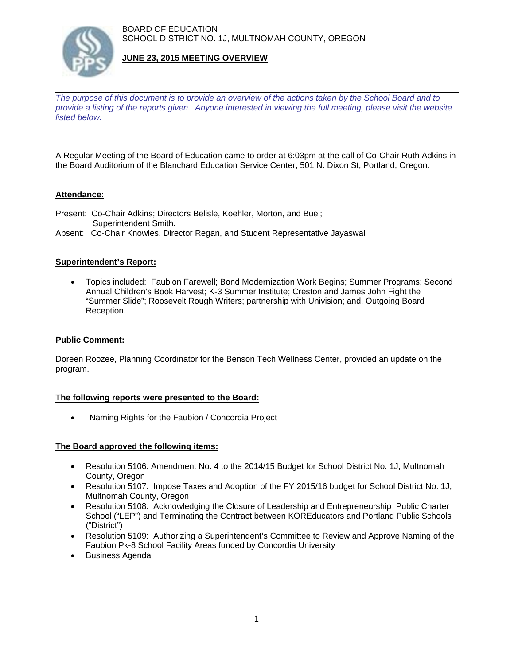BOARD OF EDUCATION SCHOOL DISTRICT NO. 1J, MULTNOMAH COUNTY, OREGON



# **JUNE 23, 2015 MEETING OVERVIEW**

*The purpose of this document is to provide an overview of the actions taken by the School Board and to provide a listing of the reports given. Anyone interested in viewing the full meeting, please visit the website listed below.* 

A Regular Meeting of the Board of Education came to order at 6:03pm at the call of Co-Chair Ruth Adkins in the Board Auditorium of the Blanchard Education Service Center, 501 N. Dixon St, Portland, Oregon.

# **Attendance:**

- Present: Co-Chair Adkins; Directors Belisle, Koehler, Morton, and Buel; Superintendent Smith.
- Absent: Co-Chair Knowles, Director Regan, and Student Representative Jayaswal

# **Superintendent's Report:**

 Topics included: Faubion Farewell; Bond Modernization Work Begins; Summer Programs; Second Annual Children's Book Harvest; K-3 Summer Institute; Creston and James John Fight the "Summer Slide"; Roosevelt Rough Writers; partnership with Univision; and, Outgoing Board Reception.

# **Public Comment:**

Doreen Roozee, Planning Coordinator for the Benson Tech Wellness Center, provided an update on the program.

#### **The following reports were presented to the Board:**

• Naming Rights for the Faubion / Concordia Project

#### **The Board approved the following items:**

- Resolution 5106: Amendment No. 4 to the 2014/15 Budget for School District No. 1J, Multnomah County, Oregon
- Resolution 5107: Impose Taxes and Adoption of the FY 2015/16 budget for School District No. 1J, Multnomah County, Oregon
- Resolution 5108: Acknowledging the Closure of Leadership and Entrepreneurship Public Charter School ("LEP") and Terminating the Contract between KOREducators and Portland Public Schools ("District")
- Resolution 5109: Authorizing a Superintendent's Committee to Review and Approve Naming of the Faubion Pk-8 School Facility Areas funded by Concordia University
- Business Agenda